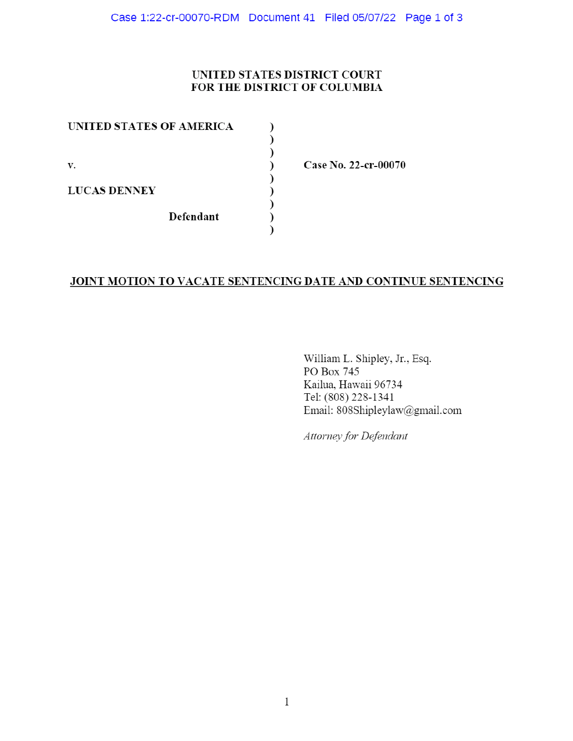## UNITED STATES DISTRICT COURT FOR THE DISTRICT OF COLUMBIA

 $\mathcal{E}$  $\mathcal{L}$  $\mathcal{E}$ 

 $\mathcal{E}$  $\mathcal{E}$ 

 $\mathcal{E}$  $\mathcal{E}$ 

 $\mathcal{E}$  $\mathcal{E}$ 

UNITED STATES OF AMERICA

 $\mathbf{v}$  . **LUCAS DENNEY** 

Defendant

Case No. 22-cr-00070

## JOINT MOTION TO VACATE SENTENCING DATE AND CONTINUE SENTENCING

William L. Shipley, Jr., Esq. PO Box 745 Kailua, Hawaii 96734 Tel: (808) 228-1341 Email: 808Shipleylaw@gmail.com

Attorney for Defendant